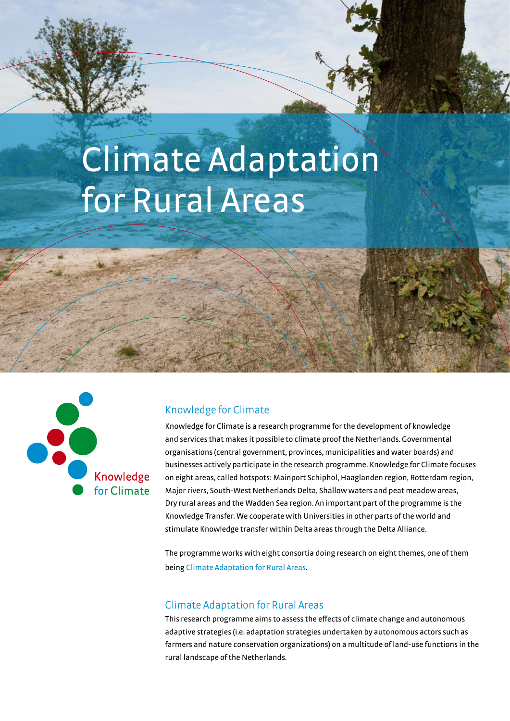# Climate Adaptation for Rural Areas



## Knowledge for Climate

Knowledge for Climate is a research programme for the development of knowledge and services that makes it possible to climate proof the Netherlands. Governmental organisations (central government, provinces, municipalities and water boards) and businesses actively participate in the research programme. Knowledge for Climate focuses on eight areas, called hotspots: Mainport Schiphol, Haaglanden region, Rotterdam region, Major rivers, South-West Netherlands Delta, Shallow waters and peat meadow areas, Dry rural areas and the Wadden Sea region. An important part of the programme is the Knowledge Transfer. We cooperate with Universities in other parts of the world and stimulate Knowledge transfer within Delta areas through the Delta Alliance.

The programme works with eight consortia doing research on eight themes, one of them being Climate Adaptation for Rural Areas.

## Climate Adaptation for Rural Areas

This research programme aims to assess the effects of climate change and autonomous adaptive strategies (i.e. adaptation strategies undertaken by autonomous actors such as farmers and nature conservation organizations) on a multitude of land-use functions in the rural landscape of the Netherlands.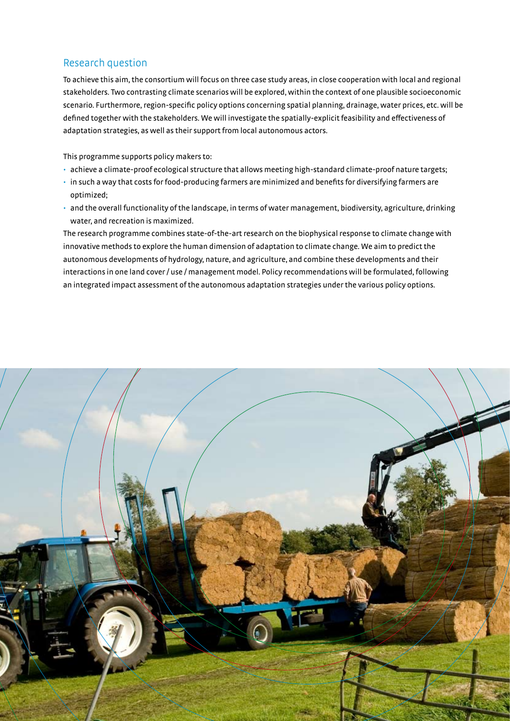## Research question

To achieve this aim, the consortium will focus on three case study areas, in close cooperation with local and regional stakeholders. Two contrasting climate scenarios will be explored, within the context of one plausible socioeconomic scenario. Furthermore, region-specific policy options concerning spatial planning, drainage, water prices, etc. will be defined together with the stakeholders. We will investigate the spatially-explicit feasibility and effectiveness of adaptation strategies, as well as their support from local autonomous actors.

This programme supports policy makers to:

- • achieve a climate-proof ecological structure that allows meeting high-standard climate-proof nature targets;
- in such a way that costs for food-producing farmers are minimized and benefits for diversifying farmers are optimized;
- • and the overall functionality of the landscape, in terms of water management, biodiversity, agriculture, drinking water, and recreation is maximized.

The research programme combines state-of-the-art research on the biophysical response to climate change with innovative methods to explore the human dimension of adaptation to climate change. We aim to predict the autonomous developments of hydrology, nature, and agriculture, and combine these developments and their interactions in one land cover / use / management model. Policy recommendations will be formulated, following an integrated impact assessment of the autonomous adaptation strategies under the various policy options.

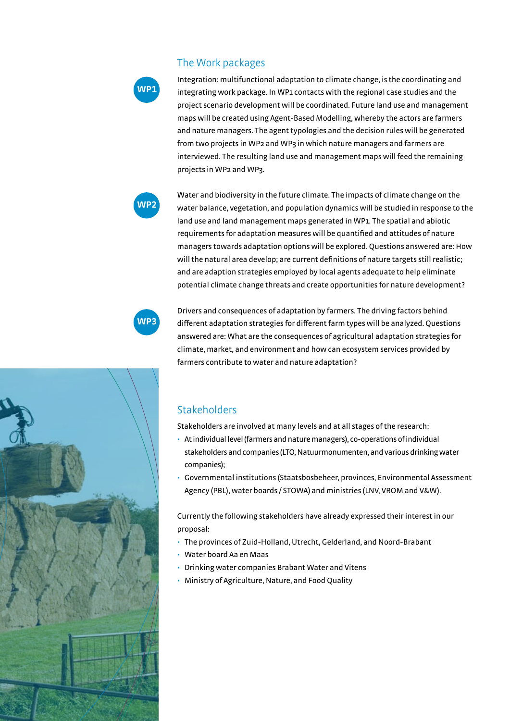## The Work packages

**WP1**

Integration: multifunctional adaptation to climate change, is the coordinating and integrating work package. In WP1 contacts with the regional case studies and the project scenario development will be coordinated. Future land use and management maps will be created using Agent-Based Modelling, whereby the actors are farmers and nature managers. The agent typologies and the decision rules will be generated from two projects in WP2 and WP3 in which nature managers and farmers are interviewed. The resulting land use and management maps will feed the remaining projects in WP2 and WP3.



Water and biodiversity in the future climate. The impacts of climate change on the water balance, vegetation, and population dynamics will be studied in response to the land use and land management maps generated in WP1. The spatial and abiotic requirements for adaptation measures will be quantified and attitudes of nature managers towards adaptation options will be explored. Questions answered are: How will the natural area develop; are current definitions of nature targets still realistic; and are adaption strategies employed by local agents adequate to help eliminate potential climate change threats and create opportunities for nature development?

**WP3**

Drivers and consequences of adaptation by farmers. The driving factors behind different adaptation strategies for different farm types will be analyzed. Questions answered are: What are the consequences of agricultural adaptation strategies for climate, market, and environment and how can ecosystem services provided by farmers contribute to water and nature adaptation?

## Stakeholders

Stakeholders are involved at many levels and at all stages of the research:

- At individual level (farmers and nature managers), co-operations of individual stakeholders and companies (LTO, Natuurmonumenten, and various drinking water companies);
- • Governmental institutions (Staatsbosbeheer, provinces, Environmental Assessment Agency (PBL), water boards / STOWA) and ministries (LNV, VROM and V&W).

Currently the following stakeholders have already expressed their interest in our proposal:

- • The provinces of Zuid-Holland, Utrecht, Gelderland, and Noord-Brabant
- • Water board Aa en Maas
- • Drinking water companies Brabant Water and Vitens
- Ministry of Agriculture, Nature, and Food Quality